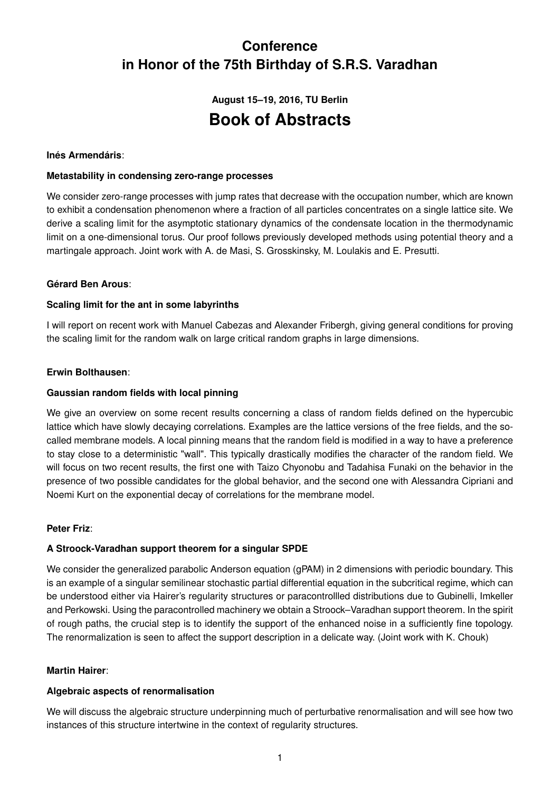# **Conference in Honor of the 75th Birthday of S.R.S. Varadhan**

# **August 15–19, 2016, TU Berlin Book of Abstracts**

## **Inés Armendáris**:

#### **Metastability in condensing zero-range processes**

We consider zero-range processes with jump rates that decrease with the occupation number, which are known to exhibit a condensation phenomenon where a fraction of all particles concentrates on a single lattice site. We derive a scaling limit for the asymptotic stationary dynamics of the condensate location in the thermodynamic limit on a one-dimensional torus. Our proof follows previously developed methods using potential theory and a martingale approach. Joint work with A. de Masi, S. Grosskinsky, M. Loulakis and E. Presutti.

## **Gérard Ben Arous**:

## **Scaling limit for the ant in some labyrinths**

I will report on recent work with Manuel Cabezas and Alexander Fribergh, giving general conditions for proving the scaling limit for the random walk on large critical random graphs in large dimensions.

#### **Erwin Bolthausen**:

#### **Gaussian random fields with local pinning**

We give an overview on some recent results concerning a class of random fields defined on the hypercubic lattice which have slowly decaying correlations. Examples are the lattice versions of the free fields, and the socalled membrane models. A local pinning means that the random field is modified in a way to have a preference to stay close to a deterministic "wall". This typically drastically modifies the character of the random field. We will focus on two recent results, the first one with Taizo Chyonobu and Tadahisa Funaki on the behavior in the presence of two possible candidates for the global behavior, and the second one with Alessandra Cipriani and Noemi Kurt on the exponential decay of correlations for the membrane model.

#### **Peter Friz**:

#### **A Stroock-Varadhan support theorem for a singular SPDE**

We consider the generalized parabolic Anderson equation (gPAM) in 2 dimensions with periodic boundary. This is an example of a singular semilinear stochastic partial differential equation in the subcritical regime, which can be understood either via Hairer's regularity structures or paracontrollled distributions due to Gubinelli, Imkeller and Perkowski. Using the paracontrolled machinery we obtain a Stroock–Varadhan support theorem. In the spirit of rough paths, the crucial step is to identify the support of the enhanced noise in a sufficiently fine topology. The renormalization is seen to affect the support description in a delicate way. (Joint work with K. Chouk)

#### **Martin Hairer**:

#### **Algebraic aspects of renormalisation**

We will discuss the algebraic structure underpinning much of perturbative renormalisation and will see how two instances of this structure intertwine in the context of regularity structures.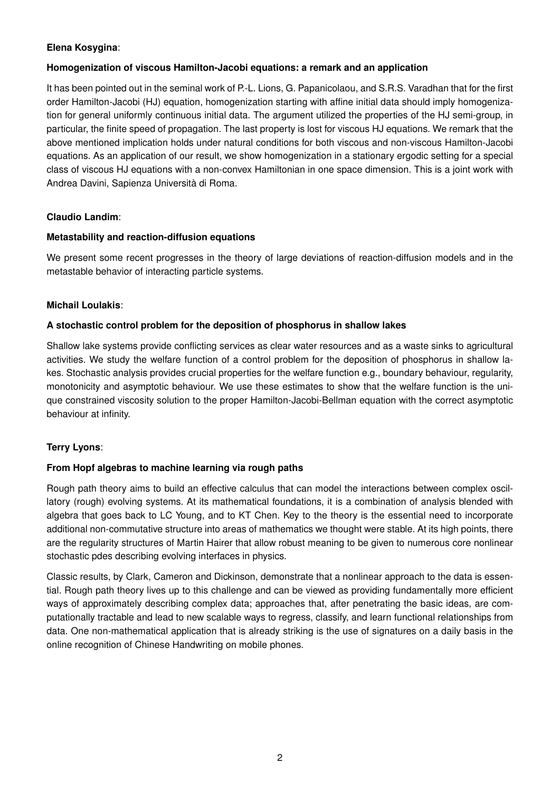## **Elena Kosygina**:

#### **Homogenization of viscous Hamilton-Jacobi equations: a remark and an application**

It has been pointed out in the seminal work of P.-L. Lions, G. Papanicolaou, and S.R.S. Varadhan that for the first order Hamilton-Jacobi (HJ) equation, homogenization starting with affine initial data should imply homogenization for general uniformly continuous initial data. The argument utilized the properties of the HJ semi-group, in particular, the finite speed of propagation. The last property is lost for viscous HJ equations. We remark that the above mentioned implication holds under natural conditions for both viscous and non-viscous Hamilton-Jacobi equations. As an application of our result, we show homogenization in a stationary ergodic setting for a special class of viscous HJ equations with a non-convex Hamiltonian in one space dimension. This is a joint work with Andrea Davini, Sapienza Università di Roma.

# **Claudio Landim**:

# **Metastability and reaction-diffusion equations**

We present some recent progresses in the theory of large deviations of reaction-diffusion models and in the metastable behavior of interacting particle systems.

# **Michail Loulakis**:

# **A stochastic control problem for the deposition of phosphorus in shallow lakes**

Shallow lake systems provide conflicting services as clear water resources and as a waste sinks to agricultural activities. We study the welfare function of a control problem for the deposition of phosphorus in shallow lakes. Stochastic analysis provides crucial properties for the welfare function e.g., boundary behaviour, regularity, monotonicity and asymptotic behaviour. We use these estimates to show that the welfare function is the unique constrained viscosity solution to the proper Hamilton-Jacobi-Bellman equation with the correct asymptotic behaviour at infinity.

# **Terry Lyons**:

# **From Hopf algebras to machine learning via rough paths**

Rough path theory aims to build an effective calculus that can model the interactions between complex oscillatory (rough) evolving systems. At its mathematical foundations, it is a combination of analysis blended with algebra that goes back to LC Young, and to KT Chen. Key to the theory is the essential need to incorporate additional non-commutative structure into areas of mathematics we thought were stable. At its high points, there are the regularity structures of Martin Hairer that allow robust meaning to be given to numerous core nonlinear stochastic pdes describing evolving interfaces in physics.

Classic results, by Clark, Cameron and Dickinson, demonstrate that a nonlinear approach to the data is essential. Rough path theory lives up to this challenge and can be viewed as providing fundamentally more efficient ways of approximately describing complex data; approaches that, after penetrating the basic ideas, are computationally tractable and lead to new scalable ways to regress, classify, and learn functional relationships from data. One non-mathematical application that is already striking is the use of signatures on a daily basis in the online recognition of Chinese Handwriting on mobile phones.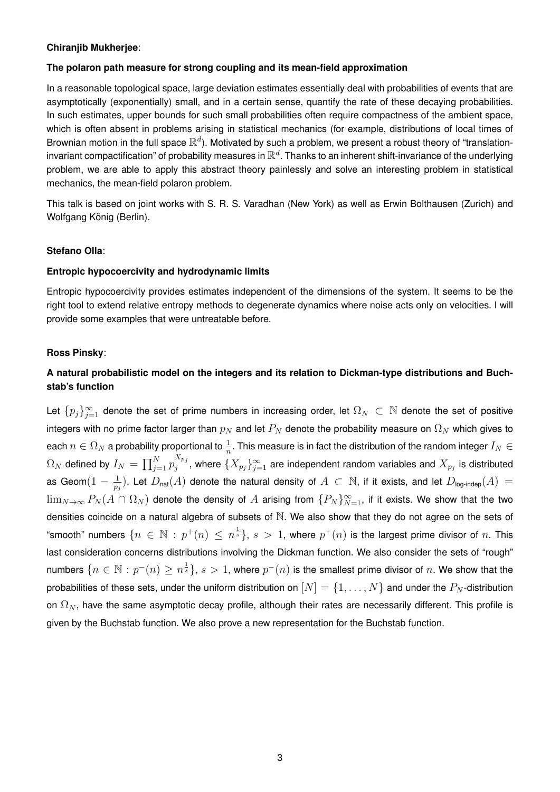#### **Chiranjib Mukherjee**:

#### **The polaron path measure for strong coupling and its mean-field approximation**

In a reasonable topological space, large deviation estimates essentially deal with probabilities of events that are asymptotically (exponentially) small, and in a certain sense, quantify the rate of these decaying probabilities. In such estimates, upper bounds for such small probabilities often require compactness of the ambient space, which is often absent in problems arising in statistical mechanics (for example, distributions of local times of Brownian motion in the full space  $\mathbb{R}^d$ ). Motivated by such a problem, we present a robust theory of "translationinvariant compactification" of probability measures in  $\mathbb{R}^d$ . Thanks to an inherent shift-invariance of the underlying problem, we are able to apply this abstract theory painlessly and solve an interesting problem in statistical mechanics, the mean-field polaron problem.

This talk is based on joint works with S. R. S. Varadhan (New York) as well as Erwin Bolthausen (Zurich) and Wolfgang König (Berlin).

#### **Stefano Olla**:

#### **Entropic hypocoercivity and hydrodynamic limits**

Entropic hypocoercivity provides estimates independent of the dimensions of the system. It seems to be the right tool to extend relative entropy methods to degenerate dynamics where noise acts only on velocities. I will provide some examples that were untreatable before.

#### **Ross Pinsky**:

# **A natural probabilistic model on the integers and its relation to Dickman-type distributions and Buchstab's function**

Let  $\{p_j\}_{j=1}^\infty$  denote the set of prime numbers in increasing order, let  $\Omega_N\, \subset\, \mathbb N$  denote the set of positive integers with no prime factor larger than  $p_N$  and let  $P_N$  denote the probability measure on  $\Omega_N$  which gives to each  $n\in\Omega_N$  a probability proportional to  $\frac1n.$  This measure is in fact the distribution of the random integer  $I_N\in$  $\Omega_N$  defined by  $I_N = \prod_{j=1}^N p_j^{X_{p_j}}$  $\sum_j^{A p_j}$ , where  $\{X_{p_j}\}_{j=1}^\infty$  are independent random variables and  $X_{p_j}$  is distributed as Geom $(1-\frac{1}{n})$  $\frac{1}{p_j}$ ). Let  $D_{\sf nat}(A)$  denote the natural density of  $A\, \subset\, \mathbb{N},$  if it exists, and let  $D_{\sf log\text{-}indep}(A)\,=1$  $\lim_{N\to\infty}P_N(A\cap\Omega_N)$  denote the density of  $A$  arising from  $\{P_N\}_{N=1}^\infty,$  if it exists. We show that the two densities coincide on a natural algebra of subsets of N. We also show that they do not agree on the sets of "smooth" numbers  $\{n\,\in\,\mathbb{N}\,:\,p^+(n)\,\leq\,n^{\frac{1}{s}}\},\,s\,>\,1,$  where  $p^+(n)$  is the largest prime divisor of  $n.$  This last consideration concerns distributions involving the Dickman function. We also consider the sets of "rough" numbers  $\{n\in\mathbb{N}:p^{-}(n)\geq n^{\frac{1}{s}}\},$   $s>1,$  where  $p^{-}(n)$  is the smallest prime divisor of  $n.$  We show that the probabilities of these sets, under the uniform distribution on  $[N] = \{1, \ldots, N\}$  and under the  $P_N$ -distribution on  $\Omega_N$ , have the same asymptotic decay profile, although their rates are necessarily different. This profile is given by the Buchstab function. We also prove a new representation for the Buchstab function.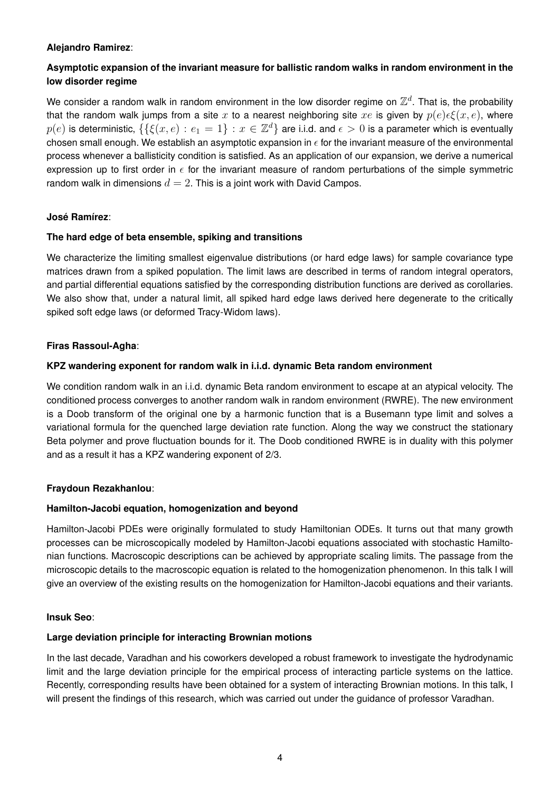#### **Alejandro Ramirez**:

# **Asymptotic expansion of the invariant measure for ballistic random walks in random environment in the low disorder regime**

We consider a random walk in random environment in the low disorder regime on  $\mathbb{Z}^d$ . That is, the probability that the random walk jumps from a site x to a nearest neighboring site xe is given by  $p(e) \in \mathcal{E}(x, e)$ , where  $p(e)$  is deterministic,  $\{\{\xi(x,e):\,e_1=1\}\,:\,x\in\mathbb{Z}^d\}$  are i.i.d. and  $\epsilon>0$  is a parameter which is eventually chosen small enough. We establish an asymptotic expansion in  $\epsilon$  for the invariant measure of the environmental process whenever a ballisticity condition is satisfied. As an application of our expansion, we derive a numerical expression up to first order in  $\epsilon$  for the invariant measure of random perturbations of the simple symmetric random walk in dimensions  $d = 2$ . This is a joint work with David Campos.

## **José Ramírez**:

## **The hard edge of beta ensemble, spiking and transitions**

We characterize the limiting smallest eigenvalue distributions (or hard edge laws) for sample covariance type matrices drawn from a spiked population. The limit laws are described in terms of random integral operators, and partial differential equations satisfied by the corresponding distribution functions are derived as corollaries. We also show that, under a natural limit, all spiked hard edge laws derived here degenerate to the critically spiked soft edge laws (or deformed Tracy-Widom laws).

## **Firas Rassoul-Agha**:

## **KPZ wandering exponent for random walk in i.i.d. dynamic Beta random environment**

We condition random walk in an i.i.d. dynamic Beta random environment to escape at an atypical velocity. The conditioned process converges to another random walk in random environment (RWRE). The new environment is a Doob transform of the original one by a harmonic function that is a Busemann type limit and solves a variational formula for the quenched large deviation rate function. Along the way we construct the stationary Beta polymer and prove fluctuation bounds for it. The Doob conditioned RWRE is in duality with this polymer and as a result it has a KPZ wandering exponent of 2/3.

#### **Fraydoun Rezakhanlou**:

#### **Hamilton-Jacobi equation, homogenization and beyond**

Hamilton-Jacobi PDEs were originally formulated to study Hamiltonian ODEs. It turns out that many growth processes can be microscopically modeled by Hamilton-Jacobi equations associated with stochastic Hamiltonian functions. Macroscopic descriptions can be achieved by appropriate scaling limits. The passage from the microscopic details to the macroscopic equation is related to the homogenization phenomenon. In this talk I will give an overview of the existing results on the homogenization for Hamilton-Jacobi equations and their variants.

#### **Insuk Seo**:

#### **Large deviation principle for interacting Brownian motions**

In the last decade, Varadhan and his coworkers developed a robust framework to investigate the hydrodynamic limit and the large deviation principle for the empirical process of interacting particle systems on the lattice. Recently, corresponding results have been obtained for a system of interacting Brownian motions. In this talk, I will present the findings of this research, which was carried out under the guidance of professor Varadhan.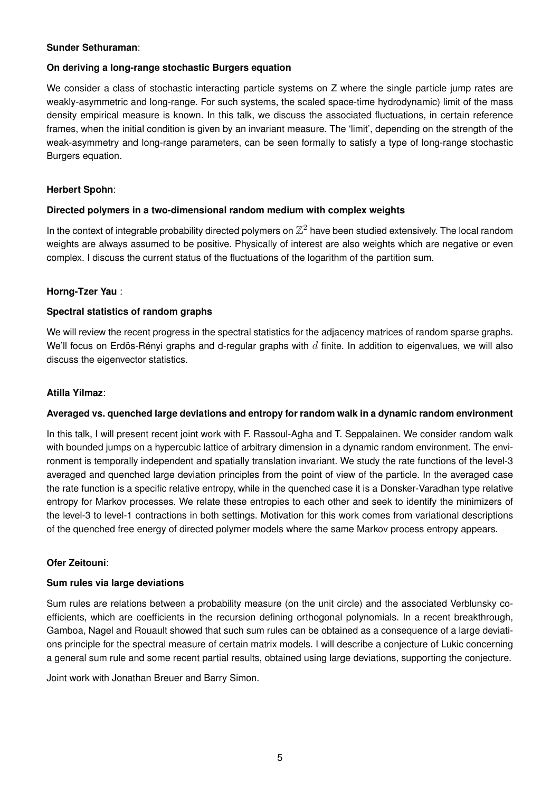#### **Sunder Sethuraman**:

#### **On deriving a long-range stochastic Burgers equation**

We consider a class of stochastic interacting particle systems on Z where the single particle jump rates are weakly-asymmetric and long-range. For such systems, the scaled space-time hydrodynamic) limit of the mass density empirical measure is known. In this talk, we discuss the associated fluctuations, in certain reference frames, when the initial condition is given by an invariant measure. The 'limit', depending on the strength of the weak-asymmetry and long-range parameters, can be seen formally to satisfy a type of long-range stochastic Burgers equation.

#### **Herbert Spohn**:

#### **Directed polymers in a two-dimensional random medium with complex weights**

In the context of integrable probability directed polymers on  $\mathbb{Z}^2$  have been studied extensively. The local random weights are always assumed to be positive. Physically of interest are also weights which are negative or even complex. I discuss the current status of the fluctuations of the logarithm of the partition sum.

#### **Horng-Tzer Yau** :

#### **Spectral statistics of random graphs**

We will review the recent progress in the spectral statistics for the adjacency matrices of random sparse graphs. We'll focus on Erdös-Rényi graphs and d-regular graphs with  $d$  finite. In addition to eigenvalues, we will also discuss the eigenvector statistics.

#### **Atilla Yilmaz**:

#### **Averaged vs. quenched large deviations and entropy for random walk in a dynamic random environment**

In this talk, I will present recent joint work with F. Rassoul-Agha and T. Seppalainen. We consider random walk with bounded jumps on a hypercubic lattice of arbitrary dimension in a dynamic random environment. The environment is temporally independent and spatially translation invariant. We study the rate functions of the level-3 averaged and quenched large deviation principles from the point of view of the particle. In the averaged case the rate function is a specific relative entropy, while in the quenched case it is a Donsker-Varadhan type relative entropy for Markov processes. We relate these entropies to each other and seek to identify the minimizers of the level-3 to level-1 contractions in both settings. Motivation for this work comes from variational descriptions of the quenched free energy of directed polymer models where the same Markov process entropy appears.

#### **Ofer Zeitouni**:

#### **Sum rules via large deviations**

Sum rules are relations between a probability measure (on the unit circle) and the associated Verblunsky coefficients, which are coefficients in the recursion defining orthogonal polynomials. In a recent breakthrough, Gamboa, Nagel and Rouault showed that such sum rules can be obtained as a consequence of a large deviations principle for the spectral measure of certain matrix models. I will describe a conjecture of Lukic concerning a general sum rule and some recent partial results, obtained using large deviations, supporting the conjecture.

Joint work with Jonathan Breuer and Barry Simon.